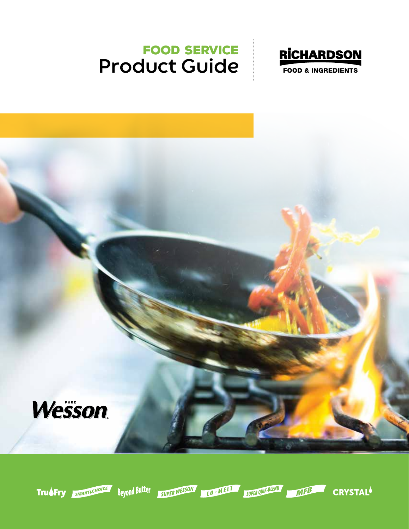### Food Service **Product Guide**





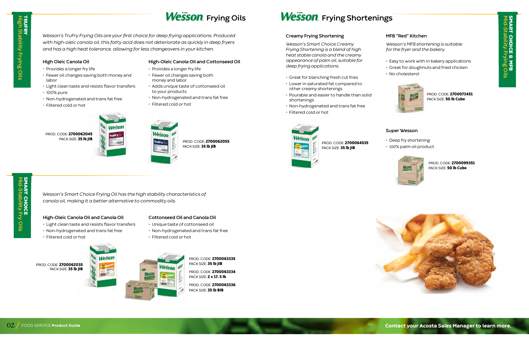**High Stability Frying Oils**

RUFRY<br>Iigh Stability Frying Oils

HRUFF<br>K

*Wesson's TruFry Frying Oils are your first choice for deep frying applications. Produced with high-oleic canola oil, this fatty acid does not deteriorate as quickly in deep fryers and has a high heat tolerance, allowing for less changeovers in your kitchen.* 

### **High Oleic Canola Oil**



PROD. CODE: 2700062055 PACK SIZE: 35 lb JIB

# **SMART CHOICE<br>Mid-Stability Fry Oils** SMART CHOICE **Mid-Stability Fry Oils**

- Provides a longer fry life
- Fewer oil changes saving both money and labor
- Light clean taste and resists flavor transfers
- 100% pure
- Non-hydrogenated and trans fat free
- Filtered cold or hot

 PROD. CODE: 2700063335 PACK SIZE: 35 lb JIB

 PROD. CODE: 2700063336 PACK SIZE: 35 lb BIB

## **Wesson** Frying Oils **Wesson** Frying Shortenings

- **High-Oleic Canola Oil and Cottonseed Oil**
- Provides a longer fry life
- Fewer oil changes saving both money and labor
- Adds unique taste of cottonseed oil to your products
- Non-hydrogenated and trans fat free
- Filtered cold or hot



 PROD. CODE: 2700064535 PACK SIZE: 35 lb JIB

*Wesson's Smart Choice Frying Oil has the high stability characteristics of* 

 PROD. CODE: 2700073451 PACK SIZE: 50 lb Cube

*canola oil, making it a better alternative to commodity oils.*

 PROD. CODE: 2700099351 PACK SIZE: 50 lb Cube



### **Cottonseed Oil and Canola Oil**

- Unique taste of cottonseed oil
- Non-hydrogenated and trans fat free
- Filtered cold or hot

 PROD. CODE: 2700063334 PACK SIZE: 2 x 17. 5 lb

**Mid-Stability Frying Oils** SMART CHOICE & MFB

**ART CHOICE & MFB<br>J-Stability Frying Oils** 

### **Creamy Frying Shortening**

*Wesson's Smart Choice Creamy Frying Shortening is a blend of high heat stable canola and the creamy appearance of palm oil, suitable for deep frying applications.* 

- Great for blanching fresh cut fries
- Lower in saturated fat compared to other creamy shortenings
- Pourable and easier to handle than solid shortenings
- Non-hydrogenated and trans fat free
- Filtered cold or hot



### **MFB "Red" Kitchen**

*Wesson's MFB shortening is suitable for the fryer and the bakery.*

• Easy to work with in bakery applications • Great for doughnuts and fried chicken • No cholesterol



### **Super Wesson**

• Deep fry shortening • 100% palm oil product







**Contact your Acosta Sales Manager to learn more.** 

### **High-Oleic Canola Oil and Canola Oil**

- Light clean taste and resists flavor transfers
- Non-hydrogenated and trans fat free
- Filtered cold or hot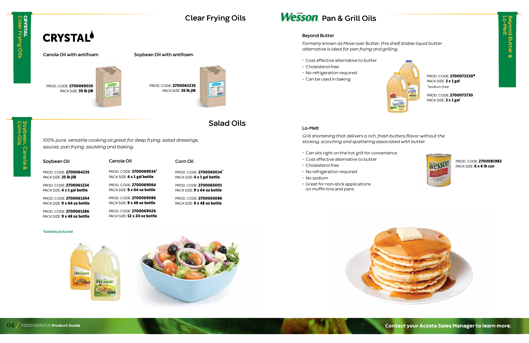**Beyond Butter &<br>Lo-Melt Beyond Butter &**



Soybean, Canola &<br>Corn Oils **Corn Oils Soybean, Canola &** 

**Clear Frying Oils**

### **Salad Oils**

## CRYSTAL **CRYSTAL<br>Clear Frying Oils Clear Frying Oils**

## **CRYSTAL<sup>6</sup>**

100% *pure, versatile cooking oil great for deep frying, salad dressings, sauces, pan frying, sautéing and baking.*

| Soybean Oil                 | Canola Oil                  | Corn Oil                      |
|-----------------------------|-----------------------------|-------------------------------|
| PROD. CODE: 2700064235      | PROD. CODE: 2700069034*     | PROD. CODE: 2700065034*       |
| PACK SIZE: 35 lb JIB        | PACK SIZE: 4 x 1 gal bottle | PACK SIZE: 4 x 1 gal bottle   |
| PROD. CODE: 2700061234      | PROD. CODE: 2700069064      | PROD. CODE: 2700065001        |
| PACK SIZE: 4 x 1 gal bottle | PACK SIZE: 9 x 64 oz bottle | PACK SIZE: 9 x 64 oz bottle   |
| PROD. CODE: 2700061264      | PROD. CODE: 2700069086      | <b>PROD. CODE: 2700065086</b> |
| PACK SIZE: 9 x 64 oz bottle | PACK SIZE: 9 x 48 oz bottle | PACK SIZE: 9 x 48 oz bottle   |
| PROD. CODE: 2700061286      | PROD. CODE: 2700069026      |                               |

PACK SIZE: **12 x 24 oz bottle** 

 PROD. CODE: 2700073730 PACK SIZE: 3 x 1 gal



 PROD. CODE: 2700081982 PACK SIZE: 6 x 6 lb can

PROD. CODE: 2700061235 PACK SIZE: 35 lb JIB



### **Beyond Butter**

*Formerly known as Move over Butter, this shelf stable liquid butter alternative is ideal for pan frying and grilling.*

- Cost effective alternative to butter
- Cholesterol free
- No refrigeration required
- Can be used in baking

PROD. CODE: 2700073230\* PACK SIZE: 3 x 1 gal *\*sodium free*

**Lo-Melt**

*Grill shortening that delivers a rich, fresh buttery flavor without the sticking, scorching and spattering associated with butter.*

- Can sits right on the hot grill for convenience
- Cost effective alternative to butter
- Cholesterol free
- No refrigeration required
- No sodium
- Great for non-stick applications on muffin tins and pans



### **Canola Oil with antifoam Soybean Oil with antifoam**



**\*bottles pictured**

PACK SIZE: **9 x 48 oz bottle** 

Wesson  $25.74$ 



## **Wesson** Pan & Grill Oils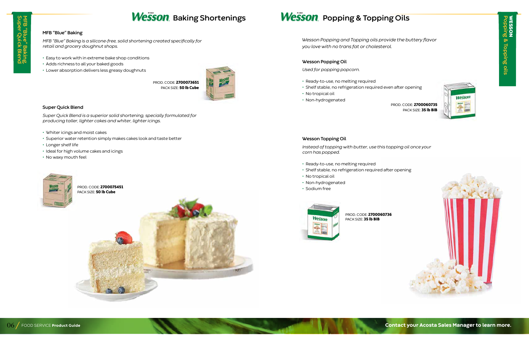WESSON **Popping & Topping oils VESSON<br>Opping & Topping oils** 

### **Wesson** Baking Shortenings **Wesson** Popping & Topping Oils

### **MFB "Blue" Baking**

PROD. CODE: 2700060736 PACK SIZE: 35 lb BIB



*MFB "Blue" Baking is a silicone-free, solid shortening created specifically for retail and grocery doughnut shops.*

- Easy to work with in extreme bake shop conditions
- Adds richness to all your baked goods
- Lower absorption delivers less greasy doughnuts

 PROD. CODE: 2700075451 PACK SIZE: 50 lb Cube

### **Super Quick Blend**

*Super Quick Blend is a superior solid shortening, specially formulated for producing taller, lighter cakes and whiter, lighter icings.*

- Whiter icings and moist cakes
- Superior water retention simply makes cakes look and taste better
- Longer shelf life
- Ideal for high volume cakes and icings
- No waxy mouth feel



PROD. CODE: 2700060735 PACK SIZE: 35 lb BIB





PROD. CODE: 2700073651 PACK SIZE: 50 lb Cube



### **Wesson Popping Oil**

*Used for popping popcorn.*

- Ready-to-use, no melting required
- Shelf stable, no refrigeration required even after opening
- No tropical oil
- Non-hydrogenated

### **Wesson Topping Oil**

*Instead of topping with butter, use this topping oil once your corn has popped.*

- Ready-to-use, no melting required
- Shelf stable, no refrigeration required after opening
- No tropical oil
- Non-hydrogenated
- Sodium free



### *Wesson Popping and Topping oils provide the buttery flavor you love with no trans fat or cholesterol.*

**Contact your Acosta Sales Manager to learn more.**